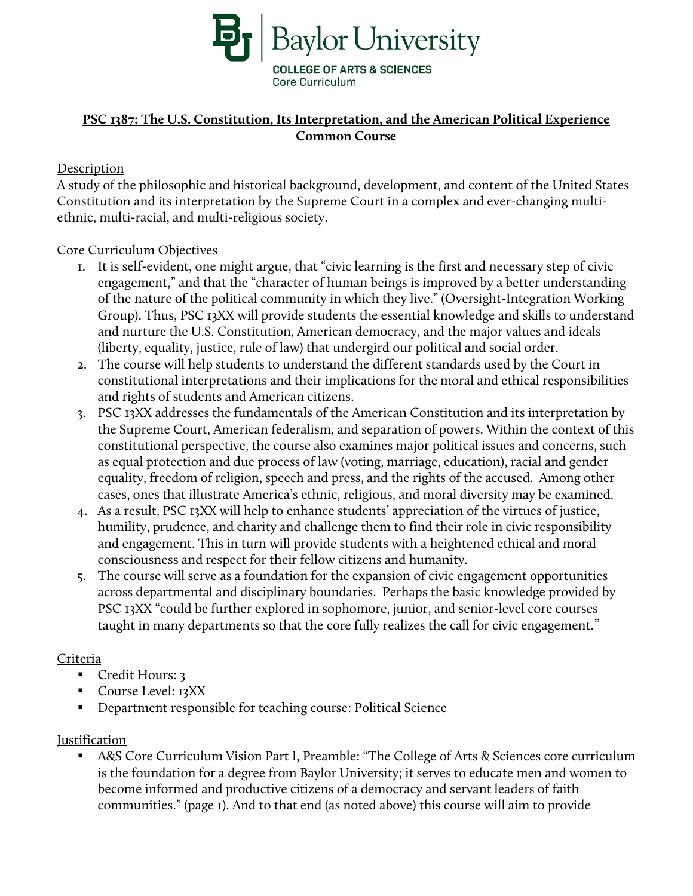

# **PSC 1387: The U.S. Constitution, Its Interpretation, and the American Political Experience Common Course**

## Description

A study of the philosophic and historical background, development, and content of the United States Constitution and its interpretation by the Supreme Court in a complex and ever-changing multiethnic, multi-racial, and multi-religious society.

### Core Curriculum Objectives

- 1. It is self-evident, one might argue, that "civic learning is the first and necessary step of civic engagement," and that the "character of human beings is improved by a better understanding of the nature of the political community in which they live." (Oversight-Integration Working Group). Thus, PSC 13XX will provide students the essential knowledge and skills to understand and nurture the U.S. Constitution, American democracy, and the major values and ideals (liberty, equality, justice, rule of law) that undergird our political and social order.
- 2. The course will help students to understand the different standards used by the Court in constitutional interpretations and their implications for the moral and ethical responsibilities and rights of students and American citizens.
- 3. PSC 13XX addresses the fundamentals of the American Constitution and its interpretation by the Supreme Court, American federalism, and separation of powers. Within the context of this constitutional perspective, the course also examines major political issues and concerns, such as equal protection and due process of law (voting, marriage, education), racial and gender equality, freedom of religion, speech and press, and the rights of the accused. Among other cases, ones that illustrate America's ethnic, religious, and moral diversity may be examined.
- 4. As a result, PSC 13XX will help to enhance students' appreciation of the virtues of justice, humility, prudence, and charity and challenge them to find their role in civic responsibility and engagement. This in turn will provide students with a heightened ethical and moral consciousness and respect for their fellow citizens and humanity.
- 5. The course will serve as a foundation for the expansion of civic engagement opportunities across departmental and disciplinary boundaries. Perhaps the basic knowledge provided by PSC 13XX "could be further explored in sophomore, junior, and senior-level core courses taught in many departments so that the core fully realizes the call for civic engagement."

### Criteria

- Credit Hours: 3
- Course Level: 13XX
- Department responsible for teaching course: Political Science

### **Justification**

 A&S Core Curriculum Vision Part I, Preamble: "The College of Arts & Sciences core curriculum is the foundation for a degree from Baylor University; it serves to educate men and women to become informed and productive citizens of a democracy and servant leaders of faith communities." (page 1). And to that end (as noted above) this course will aim to provide